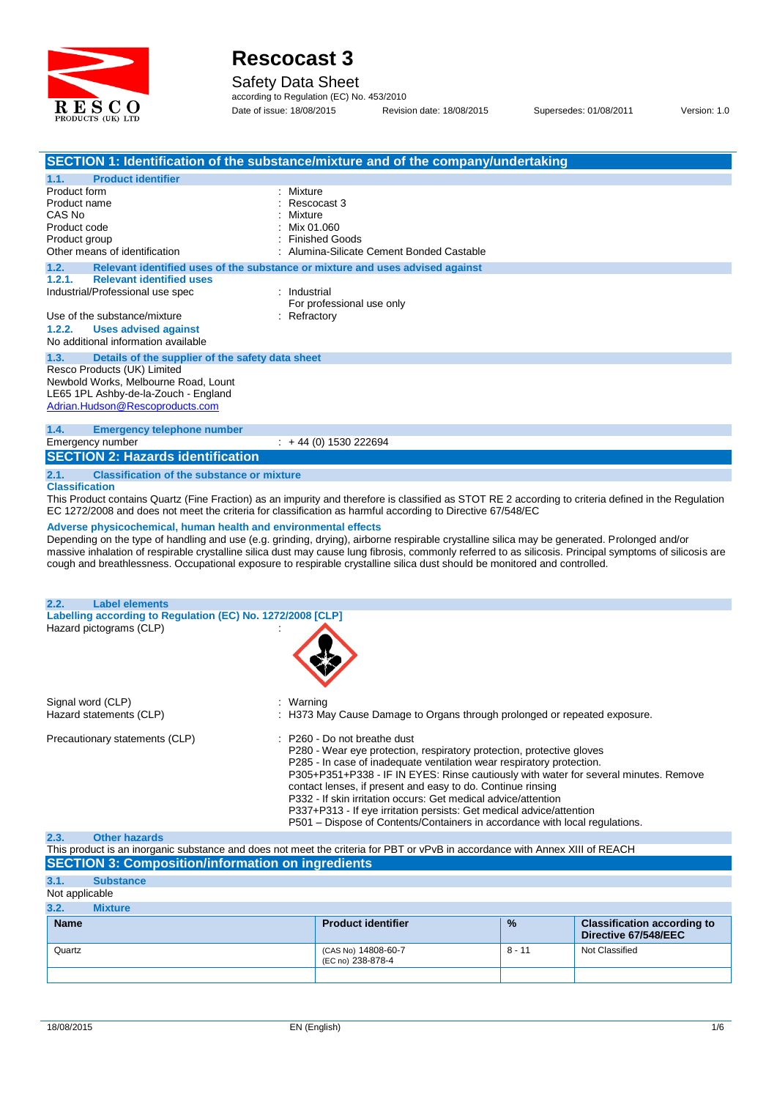

#### Safety Data Sheet

according to Regulation (EC) No. 453/2010 Date of issue: 18/08/2015 Revision date: 18/08/2015 Supersedes: 01/08/2011 Version: 1.0

|                                                                                       | SECTION 1: Identification of the substance/mixture and of the company/undertaking                                                                        |
|---------------------------------------------------------------------------------------|----------------------------------------------------------------------------------------------------------------------------------------------------------|
| <b>Product identifier</b><br>1.1.                                                     |                                                                                                                                                          |
| Product form                                                                          | Mixture                                                                                                                                                  |
| Product name<br>CAS No                                                                | Rescocast 3<br>Mixture                                                                                                                                   |
| Product code                                                                          | Mix 01.060                                                                                                                                               |
| Product group                                                                         | <b>Finished Goods</b>                                                                                                                                    |
| Other means of identification                                                         | Alumina-Silicate Cement Bonded Castable                                                                                                                  |
| 1.2.                                                                                  | Relevant identified uses of the substance or mixture and uses advised against                                                                            |
| 1.2.1.<br><b>Relevant identified uses</b>                                             |                                                                                                                                                          |
| Industrial/Professional use spec                                                      | : Industrial<br>For professional use only                                                                                                                |
| Use of the substance/mixture                                                          | Refractory                                                                                                                                               |
| 1.2.2.<br><b>Uses advised against</b>                                                 |                                                                                                                                                          |
| No additional information available                                                   |                                                                                                                                                          |
| 1.3.                                                                                  |                                                                                                                                                          |
| Details of the supplier of the safety data sheet<br>Resco Products (UK) Limited       |                                                                                                                                                          |
| Newbold Works, Melbourne Road, Lount                                                  |                                                                                                                                                          |
| LE65 1PL Ashby-de-la-Zouch - England                                                  |                                                                                                                                                          |
| Adrian.Hudson@Rescoproducts.com                                                       |                                                                                                                                                          |
|                                                                                       |                                                                                                                                                          |
| <b>Emergency telephone number</b><br>1.4.                                             | $\div$ +44 (0) 1530 222694                                                                                                                               |
| Emergency number                                                                      |                                                                                                                                                          |
| <b>SECTION 2: Hazards identification</b>                                              |                                                                                                                                                          |
| 2.1.<br><b>Classification of the substance or mixture</b>                             |                                                                                                                                                          |
| <b>Classification</b>                                                                 |                                                                                                                                                          |
|                                                                                       | This Product contains Quartz (Fine Fraction) as an impurity and therefore is classified as STOT RE 2 according to criteria defined in the Regulation     |
|                                                                                       | EC 1272/2008 and does not meet the criteria for classification as harmful according to Directive 67/548/EC                                               |
| Adverse physicochemical, human health and environmental effects                       |                                                                                                                                                          |
|                                                                                       | Depending on the type of handling and use (e.g. grinding, drying), airborne respirable crystalline silica may be generated. Prolonged and/or             |
|                                                                                       | massive inhalation of respirable crystalline silica dust may cause lung fibrosis, commonly referred to as silicosis. Principal symptoms of silicosis are |
|                                                                                       | cough and breathlessness. Occupational exposure to respirable crystalline silica dust should be monitored and controlled.                                |
|                                                                                       |                                                                                                                                                          |
|                                                                                       |                                                                                                                                                          |
| 2.2.<br><b>Label elements</b>                                                         |                                                                                                                                                          |
| Labelling according to Regulation (EC) No. 1272/2008 [CLP]<br>Hazard pictograms (CLP) |                                                                                                                                                          |
|                                                                                       |                                                                                                                                                          |
|                                                                                       |                                                                                                                                                          |
|                                                                                       |                                                                                                                                                          |
|                                                                                       |                                                                                                                                                          |
|                                                                                       |                                                                                                                                                          |
| Signal word (CLP)                                                                     | Warning                                                                                                                                                  |
| Hazard statements (CLP)                                                               | H373 May Cause Damage to Organs through prolonged or repeated exposure.                                                                                  |
|                                                                                       |                                                                                                                                                          |
| Precautionary statements (CLP)                                                        | : P260 - Do not breathe dust                                                                                                                             |
|                                                                                       | P280 - Wear eye protection, respiratory protection, protective gloves                                                                                    |
|                                                                                       | P285 - In case of inadequate ventilation wear respiratory protection.                                                                                    |
|                                                                                       | P305+P351+P338 - IF IN EYES: Rinse cautiously with water for several minutes. Remove                                                                     |
|                                                                                       | contact lenses, if present and easy to do. Continue rinsing                                                                                              |
|                                                                                       | P332 - If skin irritation occurs: Get medical advice/attention<br>P337+P313 - If eye irritation persists: Get medical advice/attention                   |
|                                                                                       | P501 – Dispose of Contents/Containers in accordance with local regulations.                                                                              |
| 2.3.<br><b>Other hazards</b>                                                          |                                                                                                                                                          |
|                                                                                       | This product is an inorganic substance and does not meet the criteria for PBT or vPvB in accordance with Annex XIII of REACH                             |
| <b>SECTION 3: Composition/information on ingredients</b>                              |                                                                                                                                                          |
| 3.1.<br><b>Substance</b>                                                              |                                                                                                                                                          |
| Not applicable                                                                        |                                                                                                                                                          |
| 3.2.<br><b>Mixture</b>                                                                |                                                                                                                                                          |
|                                                                                       |                                                                                                                                                          |

| $\mathbf{v}$ . As a $\mathbf{v}$<br><b>IIIAUIU</b> |                                          |               |                                                            |
|----------------------------------------------------|------------------------------------------|---------------|------------------------------------------------------------|
| <b>Name</b>                                        | <b>Product identifier</b>                | $\frac{9}{6}$ | <b>Classification according to</b><br>Directive 67/548/EEC |
| Quartz                                             | (CAS No) 14808-60-7<br>(EC no) 238-878-4 | 8 - 11        | Not Classified                                             |
|                                                    |                                          |               |                                                            |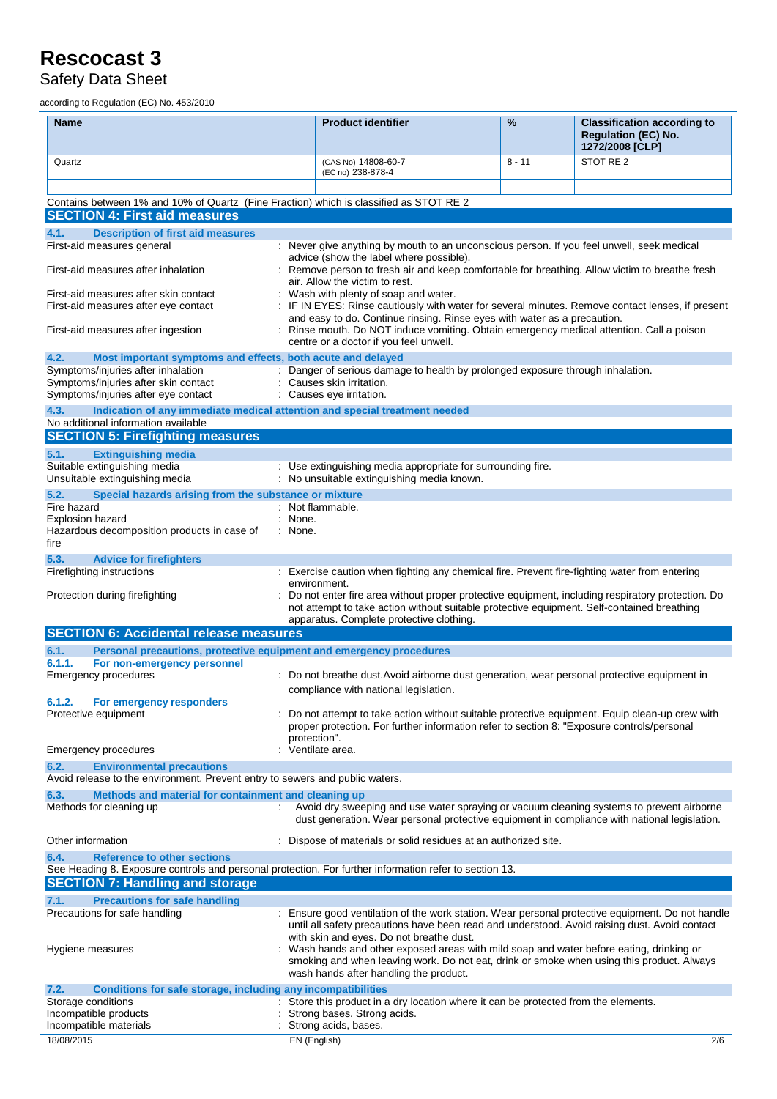### Safety Data Sheet

according to Regulation (EC) No. 453/2010

| <b>Name</b>                                                                                                                                          | <b>Product identifier</b>                                                                                                                                                                                                                  | %        | <b>Classification according to</b><br><b>Regulation (EC) No.</b><br>1272/2008 [CLP] |
|------------------------------------------------------------------------------------------------------------------------------------------------------|--------------------------------------------------------------------------------------------------------------------------------------------------------------------------------------------------------------------------------------------|----------|-------------------------------------------------------------------------------------|
| Quartz                                                                                                                                               | (CAS No) 14808-60-7<br>(EC no) 238-878-4                                                                                                                                                                                                   | $8 - 11$ | STOT RE <sub>2</sub>                                                                |
|                                                                                                                                                      |                                                                                                                                                                                                                                            |          |                                                                                     |
| Contains between 1% and 10% of Quartz (Fine Fraction) which is classified as STOT RE 2<br><b>SECTION 4: First aid measures</b>                       |                                                                                                                                                                                                                                            |          |                                                                                     |
| 4.1.<br><b>Description of first aid measures</b><br>First-aid measures general                                                                       |                                                                                                                                                                                                                                            |          |                                                                                     |
|                                                                                                                                                      | : Never give anything by mouth to an unconscious person. If you feel unwell, seek medical<br>advice (show the label where possible).                                                                                                       |          |                                                                                     |
| First-aid measures after inhalation                                                                                                                  | Remove person to fresh air and keep comfortable for breathing. Allow victim to breathe fresh<br>air. Allow the victim to rest.                                                                                                             |          |                                                                                     |
| First-aid measures after skin contact<br>First-aid measures after eye contact                                                                        | Wash with plenty of soap and water.<br>IF IN EYES: Rinse cautiously with water for several minutes. Remove contact lenses, if present                                                                                                      |          |                                                                                     |
|                                                                                                                                                      | and easy to do. Continue rinsing. Rinse eyes with water as a precaution.                                                                                                                                                                   |          |                                                                                     |
| First-aid measures after ingestion                                                                                                                   | : Rinse mouth. Do NOT induce vomiting. Obtain emergency medical attention. Call a poison<br>centre or a doctor if you feel unwell.                                                                                                         |          |                                                                                     |
| 4.2.<br>Most important symptoms and effects, both acute and delayed<br>Symptoms/injuries after inhalation                                            | : Danger of serious damage to health by prolonged exposure through inhalation.                                                                                                                                                             |          |                                                                                     |
| Symptoms/injuries after skin contact                                                                                                                 | Causes skin irritation.                                                                                                                                                                                                                    |          |                                                                                     |
| Symptoms/injuries after eye contact                                                                                                                  | Causes eye irritation.                                                                                                                                                                                                                     |          |                                                                                     |
| 4.3.<br>Indication of any immediate medical attention and special treatment needed<br>No additional information available                            |                                                                                                                                                                                                                                            |          |                                                                                     |
| <b>SECTION 5: Firefighting measures</b>                                                                                                              |                                                                                                                                                                                                                                            |          |                                                                                     |
| <b>Extinguishing media</b><br>5.1.                                                                                                                   |                                                                                                                                                                                                                                            |          |                                                                                     |
| Suitable extinguishing media<br>Unsuitable extinguishing media                                                                                       | : Use extinguishing media appropriate for surrounding fire.<br>: No unsuitable extinguishing media known.                                                                                                                                  |          |                                                                                     |
| 5.2.<br>Special hazards arising from the substance or mixture<br>Fire hazard                                                                         | : Not flammable.                                                                                                                                                                                                                           |          |                                                                                     |
| Explosion hazard                                                                                                                                     | None.                                                                                                                                                                                                                                      |          |                                                                                     |
| Hazardous decomposition products in case of<br>fire                                                                                                  | : None.                                                                                                                                                                                                                                    |          |                                                                                     |
| 5.3.<br><b>Advice for firefighters</b><br>Firefighting instructions                                                                                  | : Exercise caution when fighting any chemical fire. Prevent fire-fighting water from entering                                                                                                                                              |          |                                                                                     |
|                                                                                                                                                      | environment.                                                                                                                                                                                                                               |          |                                                                                     |
| Protection during firefighting                                                                                                                       | Do not enter fire area without proper protective equipment, including respiratory protection. Do<br>not attempt to take action without suitable protective equipment. Self-contained breathing<br>apparatus. Complete protective clothing. |          |                                                                                     |
| <b>SECTION 6: Accidental release measures</b>                                                                                                        |                                                                                                                                                                                                                                            |          |                                                                                     |
| 6.1.<br>Personal precautions, protective equipment and emergency procedures<br>6.1.1.                                                                |                                                                                                                                                                                                                                            |          |                                                                                     |
| For non-emergency personnel<br>Emergency procedures                                                                                                  | : Do not breathe dust. Avoid airborne dust generation, wear personal protective equipment in                                                                                                                                               |          |                                                                                     |
|                                                                                                                                                      | compliance with national legislation.                                                                                                                                                                                                      |          |                                                                                     |
| 6.1.2.<br>For emergency responders<br>Protective equipment                                                                                           | Do not attempt to take action without suitable protective equipment. Equip clean-up crew with                                                                                                                                              |          |                                                                                     |
|                                                                                                                                                      | proper protection. For further information refer to section 8: "Exposure controls/personal                                                                                                                                                 |          |                                                                                     |
| <b>Emergency procedures</b>                                                                                                                          | protection".<br>Ventilate area.                                                                                                                                                                                                            |          |                                                                                     |
| 6.2.<br><b>Environmental precautions</b>                                                                                                             |                                                                                                                                                                                                                                            |          |                                                                                     |
| Avoid release to the environment. Prevent entry to sewers and public waters.                                                                         |                                                                                                                                                                                                                                            |          |                                                                                     |
| 6.3.<br>Methods and material for containment and cleaning up<br>Methods for cleaning up                                                              | Avoid dry sweeping and use water spraying or vacuum cleaning systems to prevent airborne                                                                                                                                                   |          |                                                                                     |
|                                                                                                                                                      | dust generation. Wear personal protective equipment in compliance with national legislation.                                                                                                                                               |          |                                                                                     |
| Other information                                                                                                                                    | : Dispose of materials or solid residues at an authorized site.                                                                                                                                                                            |          |                                                                                     |
| 6.4.<br><b>Reference to other sections</b><br>See Heading 8. Exposure controls and personal protection. For further information refer to section 13. |                                                                                                                                                                                                                                            |          |                                                                                     |
| <b>SECTION 7: Handling and storage</b>                                                                                                               |                                                                                                                                                                                                                                            |          |                                                                                     |
| 7.1.<br><b>Precautions for safe handling</b>                                                                                                         |                                                                                                                                                                                                                                            |          |                                                                                     |
| Precautions for safe handling                                                                                                                        | : Ensure good ventilation of the work station. Wear personal protective equipment. Do not handle<br>until all safety precautions have been read and understood. Avoid raising dust. Avoid contact                                          |          |                                                                                     |
|                                                                                                                                                      | with skin and eyes. Do not breathe dust.                                                                                                                                                                                                   |          |                                                                                     |
| Hygiene measures                                                                                                                                     | Wash hands and other exposed areas with mild soap and water before eating, drinking or<br>smoking and when leaving work. Do not eat, drink or smoke when using this product. Always<br>wash hands after handling the product.              |          |                                                                                     |
| Conditions for safe storage, including any incompatibilities<br>7.2.                                                                                 |                                                                                                                                                                                                                                            |          |                                                                                     |
| Storage conditions                                                                                                                                   | Store this product in a dry location where it can be protected from the elements.                                                                                                                                                          |          |                                                                                     |
| Incompatible products<br>Incompatible materials                                                                                                      | Strong bases. Strong acids.<br>Strong acids, bases.                                                                                                                                                                                        |          |                                                                                     |
| 18/08/2015                                                                                                                                           | EN (English)                                                                                                                                                                                                                               |          | 2/6                                                                                 |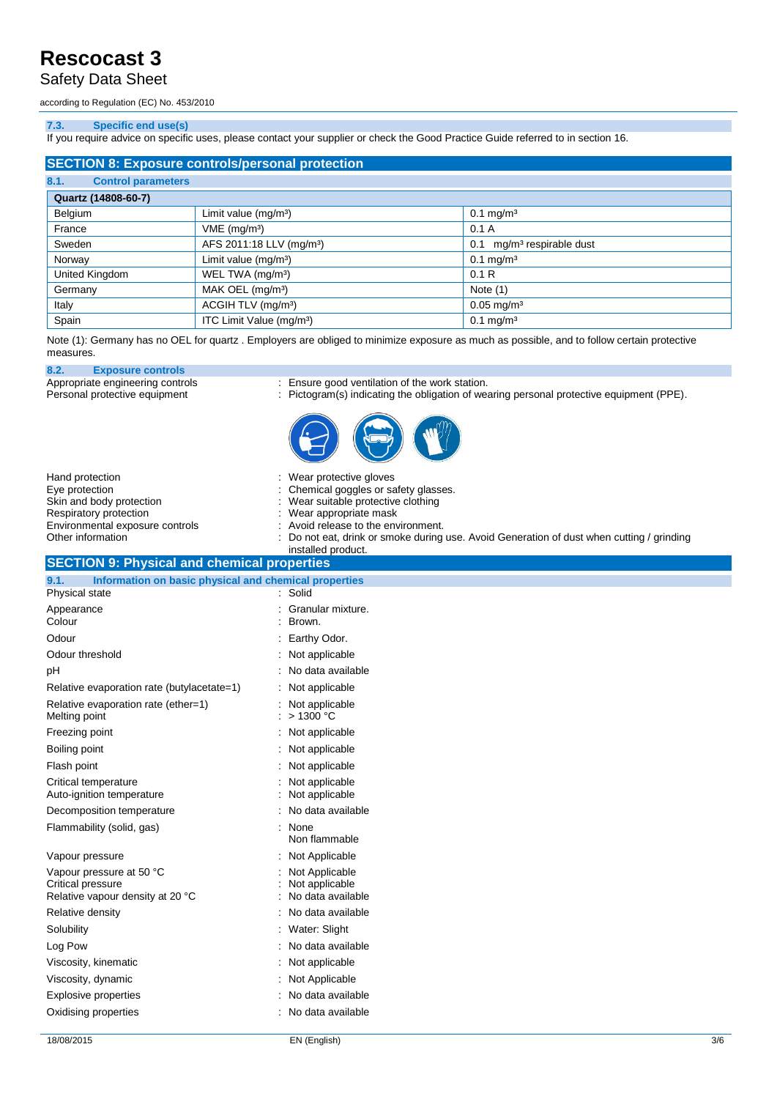### Safety Data Sheet

according to Regulation (EC) No. 453/2010

#### **7.3. Specific end use(s)**

If you require advice on specific uses, please contact your supplier or check the Good Practice Guide referred to in section 16.

| <b>SECTION 8: Exposure controls/personal protection</b> |                                      |                                          |  |
|---------------------------------------------------------|--------------------------------------|------------------------------------------|--|
| 8.1.<br><b>Control parameters</b>                       |                                      |                                          |  |
| Quartz (14808-60-7)                                     |                                      |                                          |  |
| Belgium                                                 | Limit value $(mg/m3)$                | $0.1 \text{ mg/m}^3$                     |  |
| France                                                  | $VME$ (mg/m <sup>3</sup> )           | 0.1A                                     |  |
| Sweden                                                  | AFS 2011:18 LLV (mg/m <sup>3</sup> ) | mg/m <sup>3</sup> respirable dust<br>0.1 |  |
| Norway                                                  | Limit value (mg/m <sup>3</sup> )     | $0.1 \,\mathrm{mg/m^3}$                  |  |
| United Kingdom                                          | WEL TWA (mg/m <sup>3</sup> )         | 0.1R                                     |  |
| Germany                                                 | MAK OEL (mg/m <sup>3</sup> )         | Note $(1)$                               |  |
| Italy                                                   | ACGIH TLV (mg/m <sup>3</sup> )       | $0.05$ mg/m <sup>3</sup>                 |  |
| Spain                                                   | ITC Limit Value (mg/m <sup>3</sup> ) | $0.1 \,\mathrm{mg/m^3}$                  |  |

Note (1): Germany has no OEL for quartz . Employers are obliged to minimize exposure as much as possible, and to follow certain protective measures.

**8.2. Exposure controls**

Appropriate engineering controls : Ensure good ventilation of the work station.

Personal protective equipment : Pictogram(s) indicating the obligation of wearing personal protective equipment (PPE).



| Hand protection<br>Eye protection<br>Skin and body protection<br>Respiratory protection<br>Environmental exposure controls<br>Other information | Wear protective gloves<br>Chemical goggles or safety glasses.<br>Wear suitable protective clothing<br>Wear appropriate mask<br>Avoid release to the environment.<br>Do not eat, drink or smoke during use. Avoid Generation of dust when cutting / grinding<br>installed product. |
|-------------------------------------------------------------------------------------------------------------------------------------------------|-----------------------------------------------------------------------------------------------------------------------------------------------------------------------------------------------------------------------------------------------------------------------------------|
| <b>SECTION 9: Physical and chemical properties</b><br>9.1.<br>Information on basic physical and chemical properties                             |                                                                                                                                                                                                                                                                                   |
| Physical state                                                                                                                                  | Solid                                                                                                                                                                                                                                                                             |
| Appearance<br>Colour                                                                                                                            | Granular mixture.<br>Brown.                                                                                                                                                                                                                                                       |
| Odour                                                                                                                                           | Earthy Odor.                                                                                                                                                                                                                                                                      |
| Odour threshold                                                                                                                                 | Not applicable                                                                                                                                                                                                                                                                    |
| рH                                                                                                                                              | No data available                                                                                                                                                                                                                                                                 |
| Relative evaporation rate (butylacetate=1)                                                                                                      | Not applicable                                                                                                                                                                                                                                                                    |
| Relative evaporation rate (ether=1)<br>Melting point                                                                                            | Not applicable<br>>1300 °C                                                                                                                                                                                                                                                        |
| Freezing point                                                                                                                                  | Not applicable                                                                                                                                                                                                                                                                    |
| Boiling point                                                                                                                                   | Not applicable                                                                                                                                                                                                                                                                    |
| Flash point                                                                                                                                     | Not applicable                                                                                                                                                                                                                                                                    |
| Critical temperature<br>Auto-ignition temperature                                                                                               | Not applicable<br>Not applicable                                                                                                                                                                                                                                                  |
| Decomposition temperature                                                                                                                       | No data available                                                                                                                                                                                                                                                                 |
| Flammability (solid, gas)                                                                                                                       | : None<br>Non flammable                                                                                                                                                                                                                                                           |
| Vapour pressure                                                                                                                                 | : Not Applicable                                                                                                                                                                                                                                                                  |
| Vapour pressure at 50 °C<br>Critical pressure<br>Relative vapour density at 20 °C                                                               | Not Applicable<br>Not applicable<br>No data available                                                                                                                                                                                                                             |
| Relative density                                                                                                                                | No data available                                                                                                                                                                                                                                                                 |
| Solubility                                                                                                                                      | Water: Slight                                                                                                                                                                                                                                                                     |
| Log Pow                                                                                                                                         | No data available                                                                                                                                                                                                                                                                 |
| Viscosity, kinematic                                                                                                                            | Not applicable                                                                                                                                                                                                                                                                    |
| Viscosity, dynamic                                                                                                                              | Not Applicable                                                                                                                                                                                                                                                                    |
| <b>Explosive properties</b>                                                                                                                     | No data available                                                                                                                                                                                                                                                                 |
| Oxidising properties                                                                                                                            | : No data available                                                                                                                                                                                                                                                               |
|                                                                                                                                                 |                                                                                                                                                                                                                                                                                   |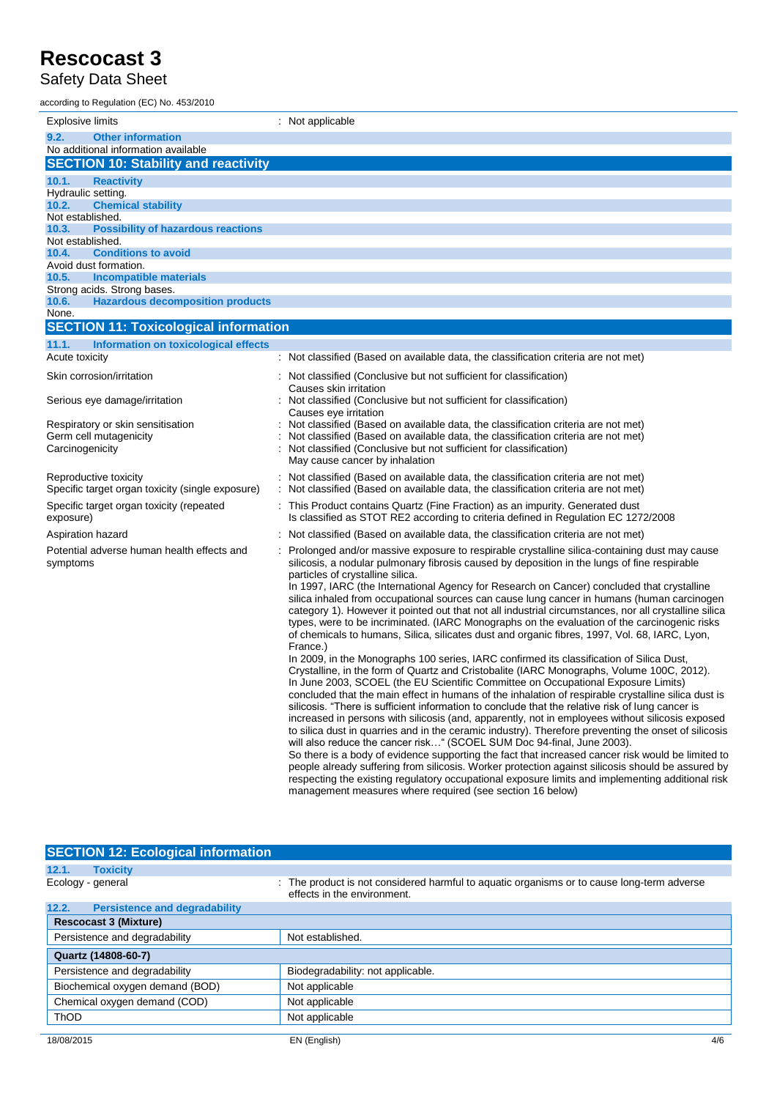### Safety Data Sheet

| according to Regulation (EC) No. 453/2010                                          |                                                                                                                                                                                                                                                                                                                                                                                                                                                                                                                                                                                                                                                                                                                                                                                                                                                                                                                                                                                                                                                                                           |
|------------------------------------------------------------------------------------|-------------------------------------------------------------------------------------------------------------------------------------------------------------------------------------------------------------------------------------------------------------------------------------------------------------------------------------------------------------------------------------------------------------------------------------------------------------------------------------------------------------------------------------------------------------------------------------------------------------------------------------------------------------------------------------------------------------------------------------------------------------------------------------------------------------------------------------------------------------------------------------------------------------------------------------------------------------------------------------------------------------------------------------------------------------------------------------------|
| <b>Explosive limits</b>                                                            | : Not applicable                                                                                                                                                                                                                                                                                                                                                                                                                                                                                                                                                                                                                                                                                                                                                                                                                                                                                                                                                                                                                                                                          |
| 9.2.<br><b>Other information</b>                                                   |                                                                                                                                                                                                                                                                                                                                                                                                                                                                                                                                                                                                                                                                                                                                                                                                                                                                                                                                                                                                                                                                                           |
| No additional information available<br><b>SECTION 10: Stability and reactivity</b> |                                                                                                                                                                                                                                                                                                                                                                                                                                                                                                                                                                                                                                                                                                                                                                                                                                                                                                                                                                                                                                                                                           |
|                                                                                    |                                                                                                                                                                                                                                                                                                                                                                                                                                                                                                                                                                                                                                                                                                                                                                                                                                                                                                                                                                                                                                                                                           |
| 10.1.<br><b>Reactivity</b><br>Hydraulic setting.                                   |                                                                                                                                                                                                                                                                                                                                                                                                                                                                                                                                                                                                                                                                                                                                                                                                                                                                                                                                                                                                                                                                                           |
| 10.2.<br><b>Chemical stability</b>                                                 |                                                                                                                                                                                                                                                                                                                                                                                                                                                                                                                                                                                                                                                                                                                                                                                                                                                                                                                                                                                                                                                                                           |
| Not established.                                                                   |                                                                                                                                                                                                                                                                                                                                                                                                                                                                                                                                                                                                                                                                                                                                                                                                                                                                                                                                                                                                                                                                                           |
| 10.3.<br><b>Possibility of hazardous reactions</b>                                 |                                                                                                                                                                                                                                                                                                                                                                                                                                                                                                                                                                                                                                                                                                                                                                                                                                                                                                                                                                                                                                                                                           |
| Not established.<br>10.4.<br><b>Conditions to avoid</b>                            |                                                                                                                                                                                                                                                                                                                                                                                                                                                                                                                                                                                                                                                                                                                                                                                                                                                                                                                                                                                                                                                                                           |
| Avoid dust formation.                                                              |                                                                                                                                                                                                                                                                                                                                                                                                                                                                                                                                                                                                                                                                                                                                                                                                                                                                                                                                                                                                                                                                                           |
| 10.5.<br><b>Incompatible materials</b>                                             |                                                                                                                                                                                                                                                                                                                                                                                                                                                                                                                                                                                                                                                                                                                                                                                                                                                                                                                                                                                                                                                                                           |
| Strong acids. Strong bases.                                                        |                                                                                                                                                                                                                                                                                                                                                                                                                                                                                                                                                                                                                                                                                                                                                                                                                                                                                                                                                                                                                                                                                           |
| <b>Hazardous decomposition products</b><br>10.6.                                   |                                                                                                                                                                                                                                                                                                                                                                                                                                                                                                                                                                                                                                                                                                                                                                                                                                                                                                                                                                                                                                                                                           |
| None.<br><b>SECTION 11: Toxicological information</b>                              |                                                                                                                                                                                                                                                                                                                                                                                                                                                                                                                                                                                                                                                                                                                                                                                                                                                                                                                                                                                                                                                                                           |
|                                                                                    |                                                                                                                                                                                                                                                                                                                                                                                                                                                                                                                                                                                                                                                                                                                                                                                                                                                                                                                                                                                                                                                                                           |
| 11.1.<br>Information on toxicological effects<br>Acute toxicity                    | : Not classified (Based on available data, the classification criteria are not met)                                                                                                                                                                                                                                                                                                                                                                                                                                                                                                                                                                                                                                                                                                                                                                                                                                                                                                                                                                                                       |
| Skin corrosion/irritation                                                          | Not classified (Conclusive but not sufficient for classification)                                                                                                                                                                                                                                                                                                                                                                                                                                                                                                                                                                                                                                                                                                                                                                                                                                                                                                                                                                                                                         |
| Serious eye damage/irritation                                                      | Causes skin irritation<br>Not classified (Conclusive but not sufficient for classification)                                                                                                                                                                                                                                                                                                                                                                                                                                                                                                                                                                                                                                                                                                                                                                                                                                                                                                                                                                                               |
|                                                                                    | Causes eye irritation                                                                                                                                                                                                                                                                                                                                                                                                                                                                                                                                                                                                                                                                                                                                                                                                                                                                                                                                                                                                                                                                     |
| Respiratory or skin sensitisation                                                  | Not classified (Based on available data, the classification criteria are not met)                                                                                                                                                                                                                                                                                                                                                                                                                                                                                                                                                                                                                                                                                                                                                                                                                                                                                                                                                                                                         |
| Germ cell mutagenicity                                                             | Not classified (Based on available data, the classification criteria are not met)                                                                                                                                                                                                                                                                                                                                                                                                                                                                                                                                                                                                                                                                                                                                                                                                                                                                                                                                                                                                         |
| Carcinogenicity                                                                    | Not classified (Conclusive but not sufficient for classification)<br>May cause cancer by inhalation                                                                                                                                                                                                                                                                                                                                                                                                                                                                                                                                                                                                                                                                                                                                                                                                                                                                                                                                                                                       |
| Reproductive toxicity                                                              | Not classified (Based on available data, the classification criteria are not met)                                                                                                                                                                                                                                                                                                                                                                                                                                                                                                                                                                                                                                                                                                                                                                                                                                                                                                                                                                                                         |
| Specific target organ toxicity (single exposure)                                   | Not classified (Based on available data, the classification criteria are not met)                                                                                                                                                                                                                                                                                                                                                                                                                                                                                                                                                                                                                                                                                                                                                                                                                                                                                                                                                                                                         |
| Specific target organ toxicity (repeated<br>exposure)                              | This Product contains Quartz (Fine Fraction) as an impurity. Generated dust<br>Is classified as STOT RE2 according to criteria defined in Regulation EC 1272/2008                                                                                                                                                                                                                                                                                                                                                                                                                                                                                                                                                                                                                                                                                                                                                                                                                                                                                                                         |
| Aspiration hazard                                                                  | Not classified (Based on available data, the classification criteria are not met)                                                                                                                                                                                                                                                                                                                                                                                                                                                                                                                                                                                                                                                                                                                                                                                                                                                                                                                                                                                                         |
| Potential adverse human health effects and<br>symptoms                             | Prolonged and/or massive exposure to respirable crystalline silica-containing dust may cause<br>silicosis, a nodular pulmonary fibrosis caused by deposition in the lungs of fine respirable<br>particles of crystalline silica.                                                                                                                                                                                                                                                                                                                                                                                                                                                                                                                                                                                                                                                                                                                                                                                                                                                          |
|                                                                                    | In 1997, IARC (the International Agency for Research on Cancer) concluded that crystalline<br>silica inhaled from occupational sources can cause lung cancer in humans (human carcinogen<br>category 1). However it pointed out that not all industrial circumstances, nor all crystalline silica<br>types, were to be incriminated. (IARC Monographs on the evaluation of the carcinogenic risks<br>of chemicals to humans, Silica, silicates dust and organic fibres, 1997, Vol. 68, IARC, Lyon,<br>France.)                                                                                                                                                                                                                                                                                                                                                                                                                                                                                                                                                                            |
|                                                                                    | In 2009, in the Monographs 100 series, IARC confirmed its classification of Silica Dust,<br>Crystalline, in the form of Quartz and Cristobalite (IARC Monographs, Volume 100C, 2012).<br>In June 2003, SCOEL (the EU Scientific Committee on Occupational Exposure Limits)<br>concluded that the main effect in humans of the inhalation of respirable crystalline silica dust is<br>silicosis. "There is sufficient information to conclude that the relative risk of lung cancer is<br>increased in persons with silicosis (and, apparently, not in employees without silicosis exposed<br>to silica dust in quarries and in the ceramic industry). Therefore preventing the onset of silicosis<br>will also reduce the cancer risk" (SCOEL SUM Doc 94-final, June 2003).<br>So there is a body of evidence supporting the fact that increased cancer risk would be limited to<br>people already suffering from silicosis. Worker protection against silicosis should be assured by<br>respecting the existing regulatory occupational exposure limits and implementing additional risk |
|                                                                                    | management measures where required (see section 16 below)                                                                                                                                                                                                                                                                                                                                                                                                                                                                                                                                                                                                                                                                                                                                                                                                                                                                                                                                                                                                                                 |

| <b>SECTION 12: Ecological information</b>     |                                                                                                                           |
|-----------------------------------------------|---------------------------------------------------------------------------------------------------------------------------|
| 12.1.<br><b>Toxicity</b>                      |                                                                                                                           |
| Ecology - general                             | : The product is not considered harmful to aquatic organisms or to cause long-term adverse<br>effects in the environment. |
| 12.2.<br><b>Persistence and degradability</b> |                                                                                                                           |
| <b>Rescocast 3 (Mixture)</b>                  |                                                                                                                           |
| Persistence and degradability                 | Not established.                                                                                                          |
| Quartz (14808-60-7)                           |                                                                                                                           |
| Persistence and degradability                 | Biodegradability: not applicable.                                                                                         |
| Biochemical oxygen demand (BOD)               | Not applicable                                                                                                            |
| Chemical oxygen demand (COD)                  | Not applicable                                                                                                            |
| <b>ThOD</b>                                   | Not applicable                                                                                                            |
| 18/08/2015                                    | EN (English)<br>4/6                                                                                                       |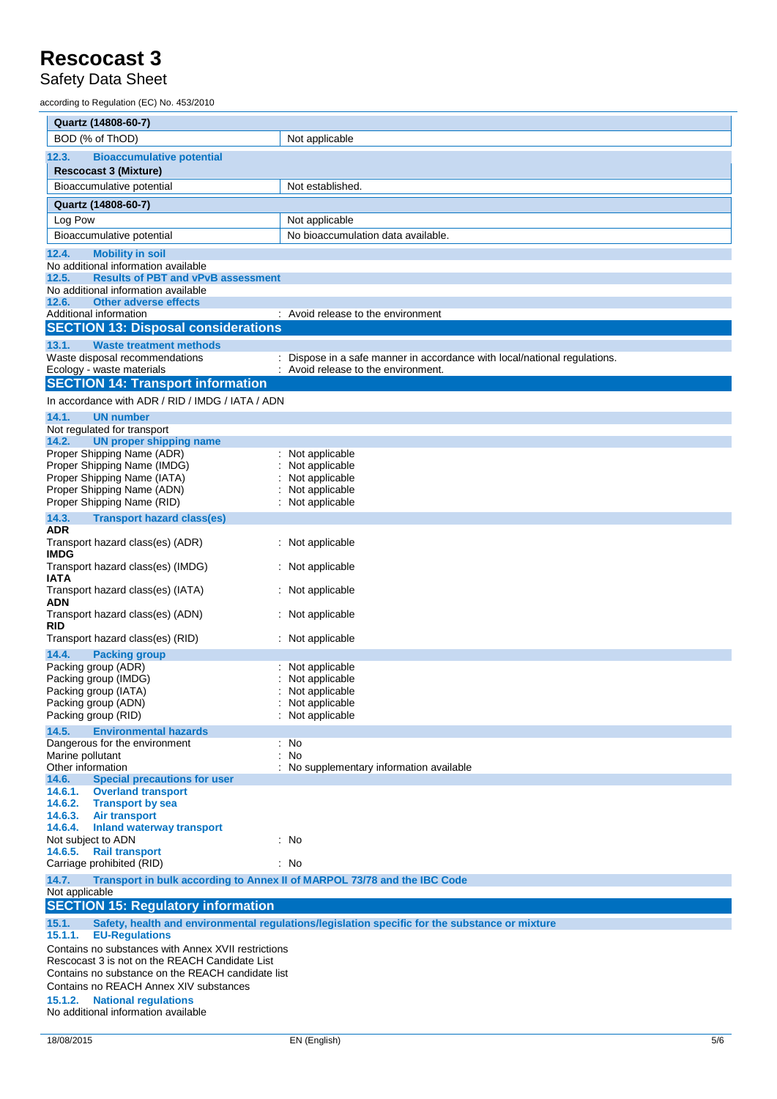Safety Data Sheet

according to Regulation (EC) No. 453/2010

| Quartz (14808-60-7)                                                                       |                                                                                                |  |
|-------------------------------------------------------------------------------------------|------------------------------------------------------------------------------------------------|--|
| BOD (% of ThOD)                                                                           | Not applicable                                                                                 |  |
| 12.3.<br><b>Bioaccumulative potential</b>                                                 |                                                                                                |  |
| <b>Rescocast 3 (Mixture)</b>                                                              |                                                                                                |  |
| Bioaccumulative potential                                                                 | Not established.                                                                               |  |
| Quartz (14808-60-7)                                                                       |                                                                                                |  |
| Log Pow                                                                                   | Not applicable                                                                                 |  |
| Bioaccumulative potential                                                                 | No bioaccumulation data available.                                                             |  |
| 12.4.<br><b>Mobility in soil</b>                                                          |                                                                                                |  |
| No additional information available<br>12.5.<br><b>Results of PBT and vPvB assessment</b> |                                                                                                |  |
| No additional information available                                                       |                                                                                                |  |
| 12.6.<br><b>Other adverse effects</b>                                                     |                                                                                                |  |
| Additional information                                                                    | : Avoid release to the environment                                                             |  |
| <b>SECTION 13: Disposal considerations</b>                                                |                                                                                                |  |
| 13.1.<br><b>Waste treatment methods</b><br>Waste disposal recommendations                 | Dispose in a safe manner in accordance with local/national regulations.                        |  |
| Ecology - waste materials                                                                 | Avoid release to the environment.                                                              |  |
| <b>SECTION 14: Transport information</b>                                                  |                                                                                                |  |
| In accordance with ADR / RID / IMDG / IATA / ADN                                          |                                                                                                |  |
| 14.1.<br><b>UN number</b>                                                                 |                                                                                                |  |
| Not regulated for transport                                                               |                                                                                                |  |
| 14.2.<br><b>UN proper shipping name</b><br>Proper Shipping Name (ADR)                     |                                                                                                |  |
| Proper Shipping Name (IMDG)                                                               | : Not applicable<br>Not applicable                                                             |  |
| Proper Shipping Name (IATA)                                                               | Not applicable                                                                                 |  |
| Proper Shipping Name (ADN)                                                                | Not applicable                                                                                 |  |
| Proper Shipping Name (RID)                                                                | Not applicable                                                                                 |  |
| 14.3.<br><b>Transport hazard class(es)</b><br>ADR                                         |                                                                                                |  |
| Transport hazard class(es) (ADR)<br><b>IMDG</b>                                           | Not applicable                                                                                 |  |
| Transport hazard class(es) (IMDG)<br>IATA                                                 | : Not applicable                                                                               |  |
| Transport hazard class(es) (IATA)<br><b>ADN</b>                                           | : Not applicable                                                                               |  |
| Transport hazard class(es) (ADN)<br><b>RID</b>                                            | : Not applicable                                                                               |  |
| Transport hazard class(es) (RID)                                                          | Not applicable                                                                                 |  |
| 14.4.<br><b>Packing group</b><br>Packing group (ADR)                                      | Not applicable                                                                                 |  |
| Packing group (IMDG)                                                                      | Not applicable                                                                                 |  |
| Packing group (IATA)                                                                      | Not applicable                                                                                 |  |
| Packing group (ADN)<br>Packing group (RID)                                                | Not applicable<br>Not applicable                                                               |  |
|                                                                                           |                                                                                                |  |
| 14.5.<br><b>Environmental hazards</b><br>Dangerous for the environment                    | : No                                                                                           |  |
| Marine pollutant                                                                          | No                                                                                             |  |
| Other information                                                                         | No supplementary information available                                                         |  |
| <b>Special precautions for user</b><br>14.6.<br>14.6.1.<br><b>Overland transport</b>      |                                                                                                |  |
| 14.6.2.<br><b>Transport by sea</b>                                                        |                                                                                                |  |
| 14.6.3.<br><b>Air transport</b>                                                           |                                                                                                |  |
| 14.6.4.<br><b>Inland waterway transport</b>                                               |                                                                                                |  |
| Not subject to ADN<br><b>Rail transport</b><br>14.6.5.                                    | : No                                                                                           |  |
| Carriage prohibited (RID)                                                                 | : No                                                                                           |  |
| 14.7.<br>Transport in bulk according to Annex II of MARPOL 73/78 and the IBC Code         |                                                                                                |  |
| Not applicable<br><b>SECTION 15: Regulatory information</b>                               |                                                                                                |  |
| 15.1.<br>15.1.1.<br><b>EU-Regulations</b>                                                 | Safety, health and environmental regulations/legislation specific for the substance or mixture |  |
| Contains no substances with Annex XVII restrictions                                       |                                                                                                |  |
| Rescocast 3 is not on the REACH Candidate List                                            |                                                                                                |  |
| Contains no substance on the REACH candidate list                                         |                                                                                                |  |
| Contains no REACH Annex XIV substances<br>15.1.2.<br><b>National regulations</b>          |                                                                                                |  |
| No additional information available                                                       |                                                                                                |  |